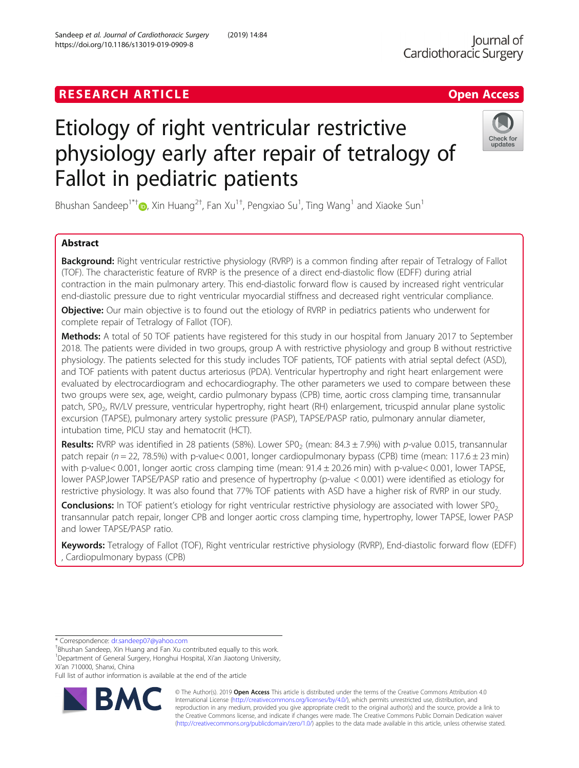# **RESEARCH ARTICLE Example 2018 12:30 The Contract of Contract ACCESS**

# Etiology of right ventricular restrictive physiology early after repair of tetralogy of Fallot in pediatric patients

Bhushan Sandeep<sup>1\*†</sup>®, Xin Huang<sup>2†</sup>, Fan Xu<sup>1†</sup>, Pengxiao Su<sup>1</sup>, Ting Wang<sup>1</sup> and Xiaoke Sun<sup>1</sup>

# Abstract

Background: Right ventricular restrictive physiology (RVRP) is a common finding after repair of Tetralogy of Fallot (TOF). The characteristic feature of RVRP is the presence of a direct end-diastolic flow (EDFF) during atrial contraction in the main pulmonary artery. This end-diastolic forward flow is caused by increased right ventricular end-diastolic pressure due to right ventricular myocardial stiffness and decreased right ventricular compliance.

Objective: Our main objective is to found out the etiology of RVRP in pediatrics patients who underwent for complete repair of Tetralogy of Fallot (TOF).

Methods: A total of 50 TOF patients have registered for this study in our hospital from January 2017 to September 2018. The patients were divided in two groups, group A with restrictive physiology and group B without restrictive physiology. The patients selected for this study includes TOF patients, TOF patients with atrial septal defect (ASD), and TOF patients with patent ductus arteriosus (PDA). Ventricular hypertrophy and right heart enlargement were evaluated by electrocardiogram and echocardiography. The other parameters we used to compare between these two groups were sex, age, weight, cardio pulmonary bypass (CPB) time, aortic cross clamping time, transannular patch, SP0<sub>2</sub>, RV/LV pressure, ventricular hypertrophy, right heart (RH) enlargement, tricuspid annular plane systolic excursion (TAPSE), pulmonary artery systolic pressure (PASP), TAPSE/PASP ratio, pulmonary annular diameter, intubation time, PICU stay and hematocrit (HCT).

Results: RVRP was identified in 28 patients (58%). Lower SP0<sub>2</sub> (mean: 84.3  $\pm$  7.9%) with p-value 0.015, transannular patch repair ( $n = 22$ , 78.5%) with p-value< 0.001, longer cardiopulmonary bypass (CPB) time (mean:  $117.6 \pm 23$  min) with p-value< 0.001, longer aortic cross clamping time (mean:  $91.4 \pm 20.26$  min) with p-value< 0.001, lower TAPSE, lower PASP,lower TAPSE/PASP ratio and presence of hypertrophy (p-value < 0.001) were identified as etiology for restrictive physiology. It was also found that 77% TOF patients with ASD have a higher risk of RVRP in our study.

**Conclusions:** In TOF patient's etiology for right ventricular restrictive physiology are associated with lower SP0<sub>2</sub> transannular patch repair, longer CPB and longer aortic cross clamping time, hypertrophy, lower TAPSE, lower PASP and lower TAPSE/PASP ratio.

Keywords: Tetralogy of Fallot (TOF), Right ventricular restrictive physiology (RVRP), End-diastolic forward flow (EDFF) Cardiopulmonary bypass (CPB)

\* Correspondence: [dr.sandeep07@yahoo.com](mailto:dr.sandeep07@yahoo.com) †

<sup>+</sup>Bhushan Sandeep, Xin Huang and Fan Xu contributed equally to this work. <sup>1</sup>Department of General Surgery, Honghui Hospital, Xi'an Jiaotong University, Xi'an 710000, Shanxi, China

Full list of author information is available at the end of the article



© The Author(s). 2019 **Open Access** This article is distributed under the terms of the Creative Commons Attribution 4.0 International License [\(http://creativecommons.org/licenses/by/4.0/](http://creativecommons.org/licenses/by/4.0/)), which permits unrestricted use, distribution, and reproduction in any medium, provided you give appropriate credit to the original author(s) and the source, provide a link to the Creative Commons license, and indicate if changes were made. The Creative Commons Public Domain Dedication waiver [\(http://creativecommons.org/publicdomain/zero/1.0/](http://creativecommons.org/publicdomain/zero/1.0/)) applies to the data made available in this article, unless otherwise stated.



updates

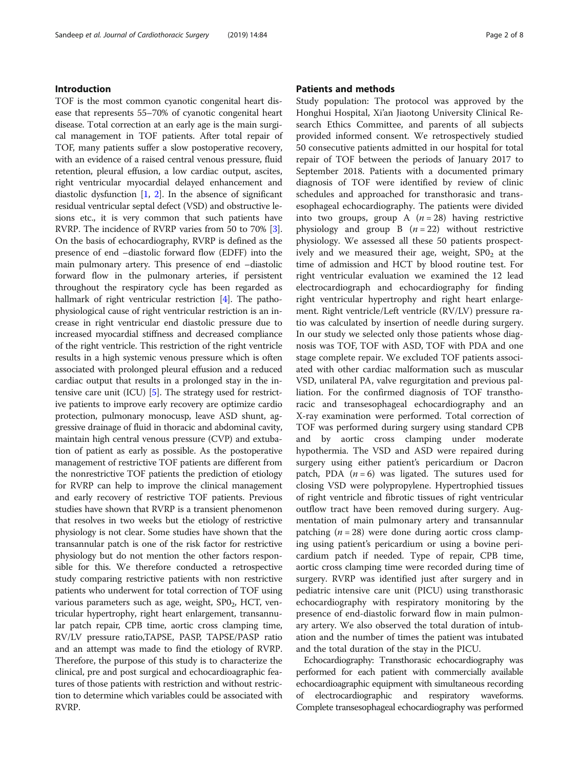## Introduction

TOF is the most common cyanotic congenital heart disease that represents 55–70% of cyanotic congenital heart disease. Total correction at an early age is the main surgical management in TOF patients. After total repair of TOF, many patients suffer a slow postoperative recovery, with an evidence of a raised central venous pressure, fluid retention, pleural effusion, a low cardiac output, ascites, right ventricular myocardial delayed enhancement and diastolic dysfunction  $[1, 2]$  $[1, 2]$  $[1, 2]$  $[1, 2]$ . In the absence of significant residual ventricular septal defect (VSD) and obstructive lesions etc., it is very common that such patients have RVRP. The incidence of RVRP varies from 50 to 70% [[3](#page-6-0)]. On the basis of echocardiography, RVRP is defined as the presence of end –diastolic forward flow (EDFF) into the main pulmonary artery. This presence of end –diastolic forward flow in the pulmonary arteries, if persistent throughout the respiratory cycle has been regarded as hallmark of right ventricular restriction [\[4\]](#page-6-0). The pathophysiological cause of right ventricular restriction is an increase in right ventricular end diastolic pressure due to increased myocardial stiffness and decreased compliance of the right ventricle. This restriction of the right ventricle results in a high systemic venous pressure which is often associated with prolonged pleural effusion and a reduced cardiac output that results in a prolonged stay in the intensive care unit (ICU) [\[5](#page-6-0)]. The strategy used for restrictive patients to improve early recovery are optimize cardio protection, pulmonary monocusp, leave ASD shunt, aggressive drainage of fluid in thoracic and abdominal cavity, maintain high central venous pressure (CVP) and extubation of patient as early as possible. As the postoperative management of restrictive TOF patients are different from the nonrestrictive TOF patients the prediction of etiology for RVRP can help to improve the clinical management and early recovery of restrictive TOF patients. Previous studies have shown that RVRP is a transient phenomenon that resolves in two weeks but the etiology of restrictive physiology is not clear. Some studies have shown that the transannular patch is one of the risk factor for restrictive physiology but do not mention the other factors responsible for this. We therefore conducted a retrospective study comparing restrictive patients with non restrictive patients who underwent for total correction of TOF using various parameters such as age, weight, SP02, HCT, ventricular hypertrophy, right heart enlargement, transannular patch repair, CPB time, aortic cross clamping time, RV/LV pressure ratio,TAPSE, PASP, TAPSE/PASP ratio and an attempt was made to find the etiology of RVRP. Therefore, the purpose of this study is to characterize the clinical, pre and post surgical and echocardioagraphic features of those patients with restriction and without restriction to determine which variables could be associated with RVRP.

## Patients and methods

Study population: The protocol was approved by the Honghui Hospital, Xi'an Jiaotong University Clinical Research Ethics Committee, and parents of all subjects provided informed consent. We retrospectively studied 50 consecutive patients admitted in our hospital for total repair of TOF between the periods of January 2017 to September 2018. Patients with a documented primary diagnosis of TOF were identified by review of clinic schedules and approached for transthorasic and transesophageal echocardiography. The patients were divided into two groups, group A  $(n = 28)$  having restrictive physiology and group B  $(n = 22)$  without restrictive physiology. We assessed all these 50 patients prospectively and we measured their age, weight,  $SPO<sub>2</sub>$  at the time of admission and HCT by blood routine test. For right ventricular evaluation we examined the 12 lead electrocardiograph and echocardiography for finding right ventricular hypertrophy and right heart enlargement. Right ventricle/Left ventricle (RV/LV) pressure ratio was calculated by insertion of needle during surgery. In our study we selected only those patients whose diagnosis was TOF, TOF with ASD, TOF with PDA and one stage complete repair. We excluded TOF patients associated with other cardiac malformation such as muscular VSD, unilateral PA, valve regurgitation and previous palliation. For the confirmed diagnosis of TOF transthoracic and transesophageal echocardiography and an X-ray examination were performed. Total correction of TOF was performed during surgery using standard CPB and by aortic cross clamping under moderate hypothermia. The VSD and ASD were repaired during surgery using either patient's pericardium or Dacron patch, PDA  $(n = 6)$  was ligated. The sutures used for closing VSD were polypropylene. Hypertrophied tissues of right ventricle and fibrotic tissues of right ventricular outflow tract have been removed during surgery. Augmentation of main pulmonary artery and transannular patching  $(n = 28)$  were done during aortic cross clamping using patient's pericardium or using a bovine pericardium patch if needed. Type of repair, CPB time, aortic cross clamping time were recorded during time of surgery. RVRP was identified just after surgery and in pediatric intensive care unit (PICU) using transthorasic echocardiography with respiratory monitoring by the presence of end-diastolic forward flow in main pulmonary artery. We also observed the total duration of intubation and the number of times the patient was intubated and the total duration of the stay in the PICU.

Echocardiography: Transthorasic echocardiography was performed for each patient with commercially available echocardioagraphic equipment with simultaneous recording of electrocardiographic and respiratory waveforms. Complete transesophageal echocardiography was performed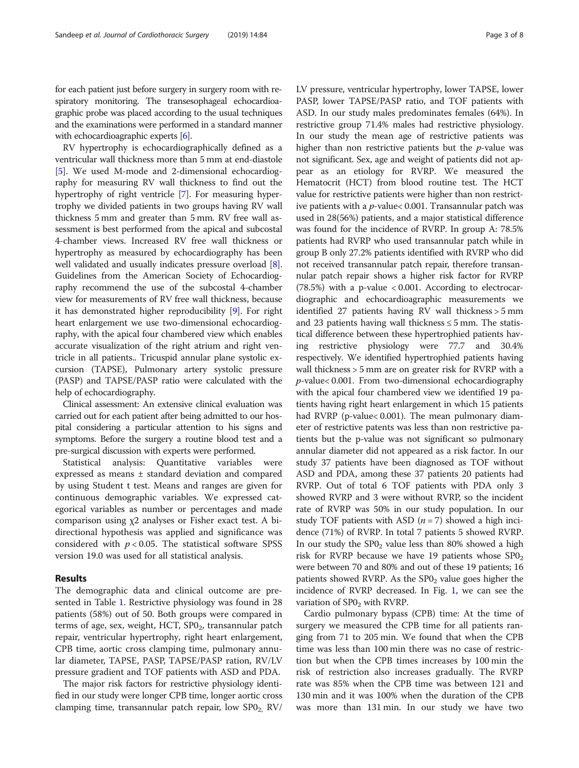for each patient just before surgery in surgery room with respiratory monitoring. The transesophageal echocardioagraphic probe was placed according to the usual techniques and the examinations were performed in a standard manner with echocardioagraphic experts [\[6\]](#page-7-0).

RV hypertrophy is echocardiographically defined as a ventricular wall thickness more than 5 mm at end-diastole [[5\]](#page-6-0). We used M-mode and 2-dimensional echocardiography for measuring RV wall thickness to find out the hypertrophy of right ventricle [[7](#page-7-0)]. For measuring hypertrophy we divided patients in two groups having RV wall thickness 5 mm and greater than 5 mm. RV free wall assessment is best performed from the apical and subcostal 4-chamber views. Increased RV free wall thickness or hypertrophy as measured by echocardiography has been well validated and usually indicates pressure overload [[8](#page-7-0)]. Guidelines from the American Society of Echocardiography recommend the use of the subcostal 4-chamber view for measurements of RV free wall thickness, because it has demonstrated higher reproducibility [\[9](#page-7-0)]. For right heart enlargement we use two-dimensional echocardiography, with the apical four chambered view which enables accurate visualization of the right atrium and right ventricle in all patients.. Tricuspid annular plane systolic excursion (TAPSE), Pulmonary artery systolic pressure (PASP) and TAPSE/PASP ratio were calculated with the help of echocardiography.

Clinical assessment: An extensive clinical evaluation was carried out for each patient after being admitted to our hospital considering a particular attention to his signs and symptoms. Before the surgery a routine blood test and a pre-surgical discussion with experts were performed.

Statistical analysis: Quantitative variables were expressed as means ± standard deviation and compared by using Student t test. Means and ranges are given for continuous demographic variables. We expressed categorical variables as number or percentages and made comparison using χ2 analyses or Fisher exact test. A bidirectional hypothesis was applied and significance was considered with  $p < 0.05$ . The statistical software SPSS version 19.0 was used for all statistical analysis.

# Results

The demographic data and clinical outcome are presented in Table [1](#page-3-0). Restrictive physiology was found in 28 patients (58%) out of 50. Both groups were compared in terms of age, sex, weight, HCT,  $SPO<sub>2</sub>$ , transannular patch repair, ventricular hypertrophy, right heart enlargement, CPB time, aortic cross clamping time, pulmonary annular diameter, TAPSE, PASP, TAPSE/PASP ration, RV/LV pressure gradient and TOF patients with ASD and PDA.

The major risk factors for restrictive physiology identified in our study were longer CPB time, longer aortic cross clamping time, transannular patch repair, low  $\text{SPO}_2$ ,  $\text{RV}/$  LV pressure, ventricular hypertrophy, lower TAPSE, lower PASP, lower TAPSE/PASP ratio, and TOF patients with ASD. In our study males predominates females (64%). In restrictive group 71.4% males had restrictive physiology. In our study the mean age of restrictive patients was higher than non restrictive patients but the p-value was not significant. Sex, age and weight of patients did not appear as an etiology for RVRP. We measured the Hematocrit (HCT) from blood routine test. The HCT value for restrictive patients were higher than non restrictive patients with a p-value< 0.001. Transannular patch was used in 28(56%) patients, and a major statistical difference was found for the incidence of RVRP. In group A: 78.5% patients had RVRP who used transannular patch while in group B only 27.2% patients identified with RVRP who did not received transannular patch repair, therefore transannular patch repair shows a higher risk factor for RVRP (78.5%) with a p-value < 0.001. According to electrocardiographic and echocardioagraphic measurements we identified 27 patients having RV wall thickness > 5 mm and 23 patients having wall thickness  $\leq$  5 mm. The statistical difference between these hypertrophied patients having restrictive physiology were 77.7 and 30.4% respectively. We identified hypertrophied patients having wall thickness > 5 mm are on greater risk for RVRP with a p-value< 0.001. From two-dimensional echocardiography with the apical four chambered view we identified 19 patients having right heart enlargement in which 15 patients had RVRP (p-value< 0.001). The mean pulmonary diameter of restrictive patents was less than non restrictive patients but the p-value was not significant so pulmonary annular diameter did not appeared as a risk factor. In our study 37 patients have been diagnosed as TOF without ASD and PDA, among these 37 patients 20 patients had RVRP. Out of total 6 TOF patients with PDA only 3 showed RVRP and 3 were without RVRP, so the incident rate of RVRP was 50% in our study population. In our study TOF patients with ASD  $(n = 7)$  showed a high incidence (71%) of RVRP. In total 7 patients 5 showed RVRP. In our study the  $SPO<sub>2</sub>$  value less than 80% showed a high risk for RVRP because we have 19 patients whose  $SDO<sub>2</sub>$ were between 70 and 80% and out of these 19 patients; 16 patients showed RVRP. As the  $SPO<sub>2</sub>$  value goes higher the incidence of RVRP decreased. In Fig. [1](#page-4-0), we can see the variation of  $SPO<sub>2</sub>$  with RVRP.

Cardio pulmonary bypass (CPB) time: At the time of surgery we measured the CPB time for all patients ranging from 71 to 205 min. We found that when the CPB time was less than 100 min there was no case of restriction but when the CPB times increases by 100 min the risk of restriction also increases gradually. The RVRP rate was 85% when the CPB time was between 121 and 130 min and it was 100% when the duration of the CPB was more than 131 min. In our study we have two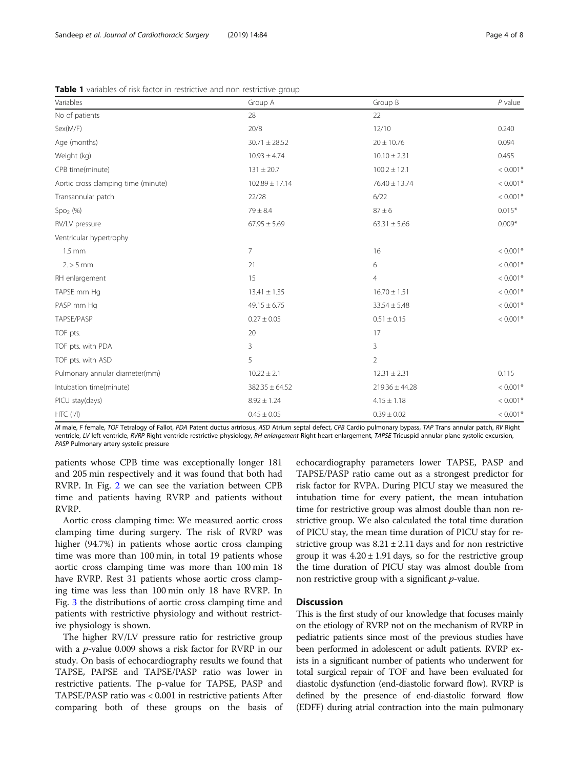| Variables                           | Group A            | Group B            | $P$ value  |
|-------------------------------------|--------------------|--------------------|------------|
| No of patients                      | 28                 | 22                 |            |
| Sex(M/F)                            | 20/8               | 12/10              | 0.240      |
| Age (months)                        | $30.71 \pm 28.52$  | $20 \pm 10.76$     | 0.094      |
| Weight (kg)                         | $10.93 \pm 4.74$   | $10.10 \pm 2.31$   | 0.455      |
| CPB time(minute)                    | $131 \pm 20.7$     | $100.2 \pm 12.1$   | $< 0.001*$ |
| Aortic cross clamping time (minute) | $102.89 \pm 17.14$ | $76.40 \pm 13.74$  | $< 0.001*$ |
| Transannular patch                  | 22/28              | 6/22               | $< 0.001*$ |
| $Spo2$ (%)                          | $79 \pm 8.4$       | $87 \pm 6$         | $0.015*$   |
| RV/LV pressure                      | $67.95 \pm 5.69$   | $63.31 \pm 5.66$   | $0.009*$   |
| Ventricular hypertrophy             |                    |                    |            |
| $1.5 \text{ mm}$                    | $\overline{7}$     | 16                 | $< 0.001*$ |
| $2. > 5$ mm                         | 21                 | 6                  | $< 0.001*$ |
| RH enlargement                      | 15                 | $\overline{4}$     | $< 0.001*$ |
| TAPSE mm Hg                         | $13.41 \pm 1.35$   | $16.70 \pm 1.51$   | $< 0.001*$ |
| PASP mm Hg                          | $49.15 \pm 6.75$   | $33.54 \pm 5.48$   | $< 0.001*$ |
| TAPSE/PASP                          | $0.27 \pm 0.05$    | $0.51 \pm 0.15$    | $< 0.001*$ |
| TOF pts.                            | 20                 | 17                 |            |
| TOF pts. with PDA                   | 3                  | 3                  |            |
| TOF pts. with ASD                   | 5                  | $\overline{2}$     |            |
| Pulmonary annular diameter(mm)      | $10.22 \pm 2.1$    | $12.31 \pm 2.31$   | 0.115      |
| Intubation time(minute)             | $382.35 \pm 64.52$ | $219.36 \pm 44.28$ | $< 0.001*$ |
| PICU stay(days)                     | $8.92 \pm 1.24$    | $4.15 \pm 1.18$    | $< 0.001*$ |
| HTC (I/I)                           | $0.45 \pm 0.05$    | $0.39 \pm 0.02$    | $< 0.001*$ |

<span id="page-3-0"></span>**Table 1** variables of risk factor in restrictive and non restrictive group

M male, F female, TOF Tetralogy of Fallot, PDA Patent ductus artriosus, ASD Atrium septal defect, CPB Cardio pulmonary bypass, TAP Trans annular patch, RV Right ventricle, LV left ventricle, RVRP Right ventricle restrictive physiology, RH enlargement Right heart enlargement, TAPSE Tricuspid annular plane systolic excursion, PASP Pulmonary artery systolic pressure

patients whose CPB time was exceptionally longer 181 and 205 min respectively and it was found that both had RVRP. In Fig. [2](#page-4-0) we can see the variation between CPB time and patients having RVRP and patients without RVRP.

Aortic cross clamping time: We measured aortic cross clamping time during surgery. The risk of RVRP was higher (94.7%) in patients whose aortic cross clamping time was more than 100 min, in total 19 patients whose aortic cross clamping time was more than 100 min 18 have RVRP. Rest 31 patients whose aortic cross clamping time was less than 100 min only 18 have RVRP. In Fig. [3](#page-5-0) the distributions of aortic cross clamping time and patients with restrictive physiology and without restrictive physiology is shown.

The higher RV/LV pressure ratio for restrictive group with a  $p$ -value 0.009 shows a risk factor for RVRP in our study. On basis of echocardiography results we found that TAPSE, PAPSE and TAPSE/PASP ratio was lower in restrictive patients. The p-value for TAPSE, PASP and TAPSE/PASP ratio was < 0.001 in restrictive patients After comparing both of these groups on the basis of

echocardiography parameters lower TAPSE, PASP and TAPSE/PASP ratio came out as a strongest predictor for risk factor for RVPA. During PICU stay we measured the intubation time for every patient, the mean intubation time for restrictive group was almost double than non restrictive group. We also calculated the total time duration of PICU stay, the mean time duration of PICU stay for restrictive group was  $8.21 \pm 2.11$  days and for non restrictive group it was  $4.20 \pm 1.91$  days, so for the restrictive group the time duration of PICU stay was almost double from non restrictive group with a significant p-value.

# **Discussion**

This is the first study of our knowledge that focuses mainly on the etiology of RVRP not on the mechanism of RVRP in pediatric patients since most of the previous studies have been performed in adolescent or adult patients. RVRP exists in a significant number of patients who underwent for total surgical repair of TOF and have been evaluated for diastolic dysfunction (end-diastolic forward flow). RVRP is defined by the presence of end-diastolic forward flow (EDFF) during atrial contraction into the main pulmonary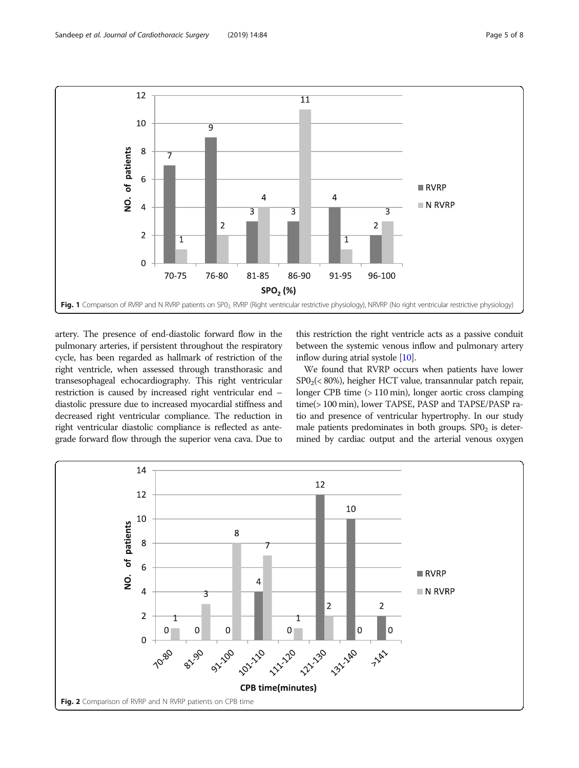<span id="page-4-0"></span>

artery. The presence of end-diastolic forward flow in the pulmonary arteries, if persistent throughout the respiratory cycle, has been regarded as hallmark of restriction of the right ventricle, when assessed through transthorasic and transesophageal echocardiography. This right ventricular restriction is caused by increased right ventricular end – diastolic pressure due to increased myocardial stiffness and decreased right ventricular compliance. The reduction in right ventricular diastolic compliance is reflected as antegrade forward flow through the superior vena cava. Due to

this restriction the right ventricle acts as a passive conduit between the systemic venous inflow and pulmonary artery inflow during atrial systole [[10](#page-7-0)].

We found that RVRP occurs when patients have lower  $SPO<sub>2</sub>(< 80%)$ , heigher HCT value, transannular patch repair, longer CPB time (> 110 min), longer aortic cross clamping time(> 100 min), lower TAPSE, PASP and TAPSE/PASP ratio and presence of ventricular hypertrophy. In our study male patients predominates in both groups.  $SPO<sub>2</sub>$  is determined by cardiac output and the arterial venous oxygen

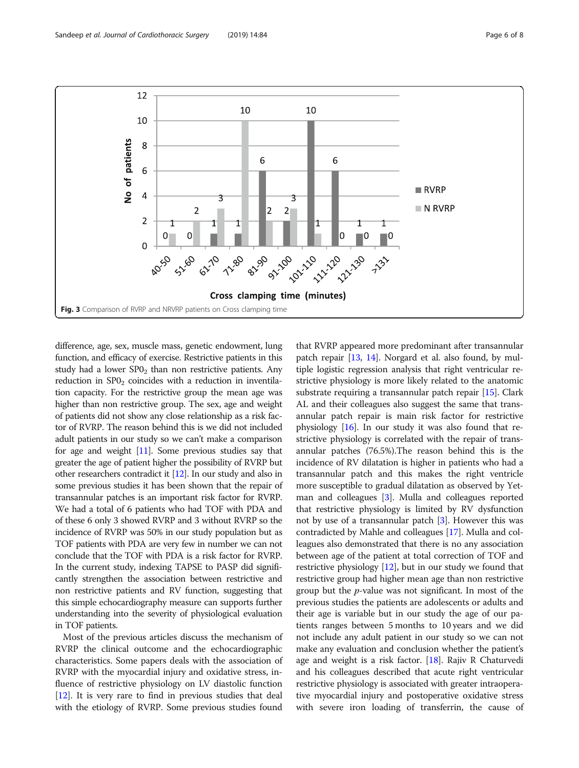<span id="page-5-0"></span>

difference, age, sex, muscle mass, genetic endowment, lung function, and efficacy of exercise. Restrictive patients in this study had a lower  $SPO<sub>2</sub>$  than non restrictive patients. Any reduction in  $SPO<sub>2</sub>$  coincides with a reduction in inventilation capacity. For the restrictive group the mean age was higher than non restrictive group. The sex, age and weight of patients did not show any close relationship as a risk factor of RVRP. The reason behind this is we did not included adult patients in our study so we can't make a comparison for age and weight [\[11](#page-7-0)]. Some previous studies say that greater the age of patient higher the possibility of RVRP but other researchers contradict it [\[12](#page-7-0)]. In our study and also in some previous studies it has been shown that the repair of transannular patches is an important risk factor for RVRP. We had a total of 6 patients who had TOF with PDA and of these 6 only 3 showed RVRP and 3 without RVRP so the incidence of RVRP was 50% in our study population but as TOF patients with PDA are very few in number we can not conclude that the TOF with PDA is a risk factor for RVRP. In the current study, indexing TAPSE to PASP did significantly strengthen the association between restrictive and non restrictive patients and RV function, suggesting that this simple echocardiography measure can supports further understanding into the severity of physiological evaluation in TOF patients.

Most of the previous articles discuss the mechanism of RVRP the clinical outcome and the echocardiographic characteristics. Some papers deals with the association of RVRP with the myocardial injury and oxidative stress, influence of restrictive physiology on LV diastolic function [[12](#page-7-0)]. It is very rare to find in previous studies that deal with the etiology of RVRP. Some previous studies found

that RVRP appeared more predominant after transannular patch repair [\[13,](#page-7-0) [14](#page-7-0)]. Norgard et al. also found, by multiple logistic regression analysis that right ventricular restrictive physiology is more likely related to the anatomic substrate requiring a transannular patch repair [\[15\]](#page-7-0). Clark AL and their colleagues also suggest the same that transannular patch repair is main risk factor for restrictive physiology  $[16]$  $[16]$ . In our study it was also found that restrictive physiology is correlated with the repair of transannular patches (76.5%).The reason behind this is the incidence of RV dilatation is higher in patients who had a transannular patch and this makes the right ventricle more susceptible to gradual dilatation as observed by Yetman and colleagues [[3\]](#page-6-0). Mulla and colleagues reported that restrictive physiology is limited by RV dysfunction not by use of a transannular patch [[3\]](#page-6-0). However this was contradicted by Mahle and colleagues [[17\]](#page-7-0). Mulla and colleagues also demonstrated that there is no any association between age of the patient at total correction of TOF and restrictive physiology [\[12](#page-7-0)], but in our study we found that restrictive group had higher mean age than non restrictive group but the p-value was not significant. In most of the previous studies the patients are adolescents or adults and their age is variable but in our study the age of our patients ranges between 5 months to 10 years and we did not include any adult patient in our study so we can not make any evaluation and conclusion whether the patient's age and weight is a risk factor. [\[18\]](#page-7-0). Rajiv R Chaturvedi and his colleagues described that acute right ventricular restrictive physiology is associated with greater intraoperative myocardial injury and postoperative oxidative stress with severe iron loading of transferrin, the cause of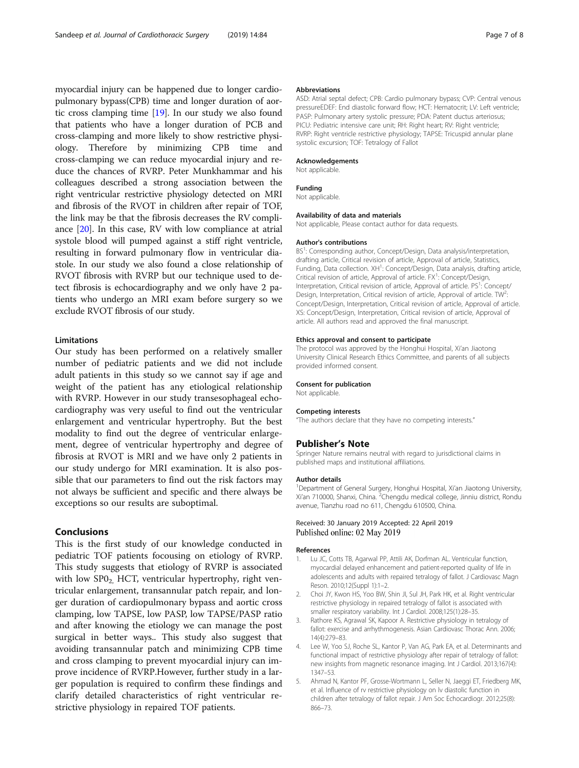<span id="page-6-0"></span>myocardial injury can be happened due to longer cardiopulmonary bypass(CPB) time and longer duration of aortic cross clamping time [\[19](#page-7-0)]. In our study we also found that patients who have a longer duration of PCB and cross-clamping and more likely to show restrictive physiology. Therefore by minimizing CPB time and cross-clamping we can reduce myocardial injury and reduce the chances of RVRP. Peter Munkhammar and his colleagues described a strong association between the right ventricular restrictive physiology detected on MRI and fibrosis of the RVOT in children after repair of TOF, the link may be that the fibrosis decreases the RV compliance [[20\]](#page-7-0). In this case, RV with low compliance at atrial systole blood will pumped against a stiff right ventricle, resulting in forward pulmonary flow in ventricular diastole. In our study we also found a close relationship of RVOT fibrosis with RVRP but our technique used to detect fibrosis is echocardiography and we only have 2 patients who undergo an MRI exam before surgery so we exclude RVOT fibrosis of our study.

#### Limitations

Our study has been performed on a relatively smaller number of pediatric patients and we did not include adult patients in this study so we cannot say if age and weight of the patient has any etiological relationship with RVRP. However in our study transesophageal echocardiography was very useful to find out the ventricular enlargement and ventricular hypertrophy. But the best modality to find out the degree of ventricular enlargement, degree of ventricular hypertrophy and degree of fibrosis at RVOT is MRI and we have only 2 patients in our study undergo for MRI examination. It is also possible that our parameters to find out the risk factors may not always be sufficient and specific and there always be exceptions so our results are suboptimal.

# Conclusions

This is the first study of our knowledge conducted in pediatric TOF patients focousing on etiology of RVRP. This study suggests that etiology of RVRP is associated with low  $SPO<sub>2</sub>$ . HCT, ventricular hypertrophy, right ventricular enlargement, transannular patch repair, and longer duration of cardiopulmonary bypass and aortic cross clamping, low TAPSE, low PASP, low TAPSE/PASP ratio and after knowing the etiology we can manage the post surgical in better ways.. This study also suggest that avoiding transannular patch and minimizing CPB time and cross clamping to prevent myocardial injury can improve incidence of RVRP.However, further study in a larger population is required to confirm these findings and clarify detailed characteristics of right ventricular restrictive physiology in repaired TOF patients.

#### Abbreviations

ASD: Atrial septal defect; CPB: Cardio pulmonary bypass; CVP: Central venous pressureEDEF: End diastolic forward flow; HCT: Hematocrit; LV: Left ventricle; PASP: Pulmonary artery systolic pressure; PDA: Patent ductus arteriosus; PICU: Pediatric intensive care unit; RH: Right heart; RV: Right ventricle; RVRP: Right ventricle restrictive physiology; TAPSE: Tricuspid annular plane systolic excursion; TOF: Tetralogy of Fallot

#### Acknowledgements

Not applicable.

#### Funding

Not applicable.

#### Availability of data and materials

Not applicable, Please contact author for data requests.

#### Author's contributions

BS<sup>1</sup>: Corresponding author, Concept/Design, Data analysis/interpretation drafting article, Critical revision of article, Approval of article, Statistics, Funding, Data collection. XH<sup>1</sup>: Concept/Design, Data analysis, drafting article, Critical revision of article, Approval of article. FX<sup>1</sup>: Concept/Design, Interpretation, Critical revision of article, Approval of article. PS<sup>1</sup>: Concept/ Design, Interpretation, Critical revision of article, Approval of article. TW<sup>2</sup> Concept/Design, Interpretation, Critical revision of article, Approval of article. XS: Concept/Design, Interpretation, Critical revision of article, Approval of article. All authors read and approved the final manuscript.

#### Ethics approval and consent to participate

The protocol was approved by the Honghui Hospital, Xi'an Jiaotong University Clinical Research Ethics Committee, and parents of all subjects provided informed consent.

#### Consent for publication

Not applicable.

#### Competing interests

"The authors declare that they have no competing interests."

#### Publisher's Note

Springer Nature remains neutral with regard to jurisdictional claims in published maps and institutional affiliations.

#### Author details

<sup>1</sup>Department of General Surgery, Honghui Hospital, Xi'an Jiaotong University Xi'an 710000, Shanxi, China. <sup>2</sup>Chengdu medical college, Jinniu district, Rondu avenue, Tianzhu road no 611, Chengdu 610500, China.

#### Received: 30 January 2019 Accepted: 22 April 2019 Published online: 02 May 2019

#### References

- 1. Lu JC, Cotts TB, Agarwal PP, Attili AK, Dorfman AL. Ventricular function, myocardial delayed enhancement and patient-reported quality of life in adolescents and adults with repaired tetralogy of fallot. J Cardiovasc Magn Reson. 2010;12(Suppl 1):1–2.
- 2. Choi JY, Kwon HS, Yoo BW, Shin JI, Sul JH, Park HK, et al. Right ventricular restrictive physiology in repaired tetralogy of fallot is associated with smaller respiratory variability. Int J Cardiol. 2008;125(1):28–35.
- 3. Rathore KS, Agrawal SK, Kapoor A. Restrictive physiology in tetralogy of fallot: exercise and arrhythmogenesis. Asian Cardiovasc Thorac Ann. 2006; 14(4):279–83.
- 4. Lee W, Yoo SJ, Roche SL, Kantor P, Van AG, Park EA, et al. Determinants and functional impact of restrictive physiology after repair of tetralogy of fallot: new insights from magnetic resonance imaging. Int J Cardiol. 2013;167(4): 1347–53.
- 5. Ahmad N, Kantor PF, Grosse-Wortmann L, Seller N, Jaeggi ET, Friedberg MK, et al. Influence of rv restrictive physiology on lv diastolic function in children after tetralogy of fallot repair. J Am Soc Echocardiogr. 2012;25(8): 866–73.